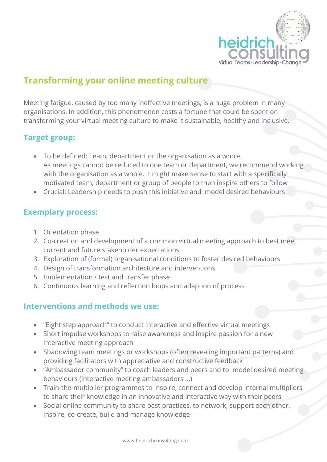

# **Transforming your online meeting culture**

Meeting fatigue, caused by too many ineffective meetings, is a huge problem in many organisations. In addition, this phenomenon costs a fortune that could be spent on transforming your virtual meeting culture to make it sustainable, healthy and inclusive.

# **Target group:**

- To be defined: Team, department or the organisation as a whole As meetings cannot be reduced to one team or department, we recommend working with the organisation as a whole. It might make sense to start with a specifically motivated team, department or group of people to then inspire others to follow
- Crucial: Leadership needs to push this initiative and model desired behaviours

### **Exemplary process:**

- 1. Orientation phase
- 2. Co-creation and development of a common virtual meeting approach to best meet current and future stakeholder expectations
- 3. Exploration of (formal) organisational conditions to foster desired behaviours
- 4. Design of transformation architecture and interventions
- 5. Implementation / test and transfer phase
- 6. Continuous learning and reflection loops and adaption of process

# **Interventions and methods we use:**

- "Eight step approach" to conduct interactive and effective virtual meetings
- Short impulse workshops to raise awareness and inspire passion for a new interactive meeting approach
- Shadowing team meetings or workshops (often revealing important patterns) and providing facilitators with appreciative and constructive feedback
- "Ambassador community" to coach leaders and peers and to model desired meeting behaviours (interactive meeting ambassadors …)
- Train-the-multiplier programmes to inspire, connect and develop internal multipliers to share their knowledge in an innovative and interactive way with their peers
- Social online community to share best practices, to network, support each other, inspire, co-create, build and manage knowledge